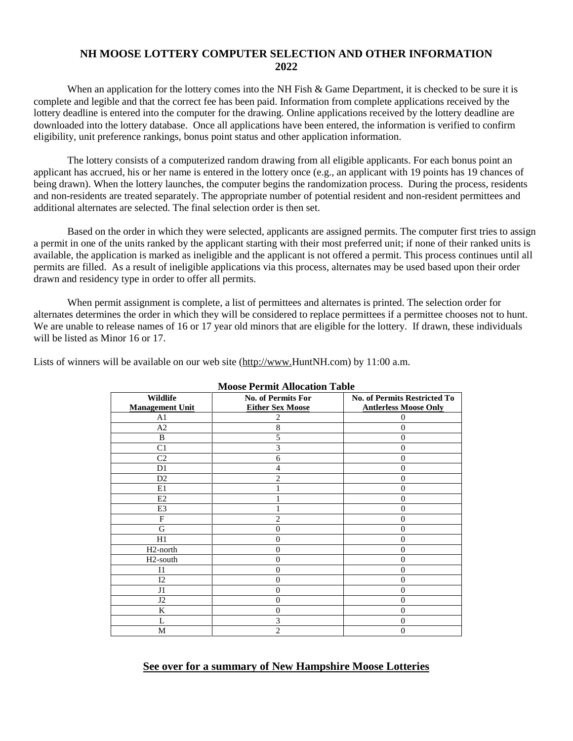## **NH MOOSE LOTTERY COMPUTER SELECTION AND OTHER INFORMATION 2022**

When an application for the lottery comes into the NH Fish & Game Department, it is checked to be sure it is complete and legible and that the correct fee has been paid. Information from complete applications received by the lottery deadline is entered into the computer for the drawing. Online applications received by the lottery deadline are downloaded into the lottery database. Once all applications have been entered, the information is verified to confirm eligibility, unit preference rankings, bonus point status and other application information.

The lottery consists of a computerized random drawing from all eligible applicants. For each bonus point an applicant has accrued, his or her name is entered in the lottery once (e.g., an applicant with 19 points has 19 chances of being drawn). When the lottery launches, the computer begins the randomization process. During the process, residents and non-residents are treated separately. The appropriate number of potential resident and non-resident permittees and additional alternates are selected. The final selection order is then set.

Based on the order in which they were selected, applicants are assigned permits. The computer first tries to assign a permit in one of the units ranked by the applicant starting with their most preferred unit; if none of their ranked units is available, the application is marked as ineligible and the applicant is not offered a permit. This process continues until all permits are filled. As a result of ineligible applications via this process, alternates may be used based upon their order drawn and residency type in order to offer all permits.

When permit assignment is complete, a list of permittees and alternates is printed. The selection order for alternates determines the order in which they will be considered to replace permittees if a permittee chooses not to hunt. We are unable to release names of 16 or 17 year old minors that are eligible for the lottery. If drawn, these individuals will be listed as Minor 16 or 17.

Lists of winners will be available on our web site [\(http://www.H](http://www./)untNH.com) by 11:00 a.m.

| MOOSE I ELIIIU AIIOCAUOII TADIE |                           |                                     |  |  |  |  |  |  |  |  |
|---------------------------------|---------------------------|-------------------------------------|--|--|--|--|--|--|--|--|
| Wildlife                        | <b>No. of Permits For</b> | <b>No. of Permits Restricted To</b> |  |  |  |  |  |  |  |  |
| <b>Management Unit</b>          | <b>Either Sex Moose</b>   | <b>Antlerless Moose Only</b>        |  |  |  |  |  |  |  |  |
| A <sub>1</sub>                  | 2                         | $_{0}$                              |  |  |  |  |  |  |  |  |
| A <sub>2</sub>                  | 8                         | $\Omega$                            |  |  |  |  |  |  |  |  |
| B                               | 5                         | $\Omega$                            |  |  |  |  |  |  |  |  |
| C <sub>1</sub>                  | 3                         | $\Omega$                            |  |  |  |  |  |  |  |  |
| C <sub>2</sub>                  | 6                         | $\Omega$                            |  |  |  |  |  |  |  |  |
| D <sub>1</sub>                  | $\overline{4}$            | $\mathbf{0}$                        |  |  |  |  |  |  |  |  |
| D <sub>2</sub>                  | $\overline{c}$            | 0                                   |  |  |  |  |  |  |  |  |
| E1                              |                           | 0                                   |  |  |  |  |  |  |  |  |
| E <sub>2</sub>                  |                           | 0                                   |  |  |  |  |  |  |  |  |
| E3                              |                           | 0                                   |  |  |  |  |  |  |  |  |
| F                               | 2                         | 0                                   |  |  |  |  |  |  |  |  |
| G                               | 0                         | $\mathbf{0}$                        |  |  |  |  |  |  |  |  |
| H1                              | $\theta$                  | $\theta$                            |  |  |  |  |  |  |  |  |
| H <sub>2</sub> -north           | $\theta$                  | $\mathbf{0}$                        |  |  |  |  |  |  |  |  |
| H <sub>2</sub> -south           | $\theta$                  | $\mathbf{0}$                        |  |  |  |  |  |  |  |  |
| I <sub>1</sub>                  | $\theta$                  | $\theta$                            |  |  |  |  |  |  |  |  |
| 12                              | $\theta$                  | $\theta$                            |  |  |  |  |  |  |  |  |
| J1                              | $\theta$                  | $\theta$                            |  |  |  |  |  |  |  |  |
| J2                              | $\theta$                  | $\mathbf{0}$                        |  |  |  |  |  |  |  |  |
| K                               | $\theta$                  | $\theta$                            |  |  |  |  |  |  |  |  |
| L                               | 3                         | $\overline{0}$                      |  |  |  |  |  |  |  |  |
| M                               | $\overline{c}$            | $\theta$                            |  |  |  |  |  |  |  |  |

**Moose Permit Allocation Table**

## **See over for a summary of New Hampshire Moose Lotteries**